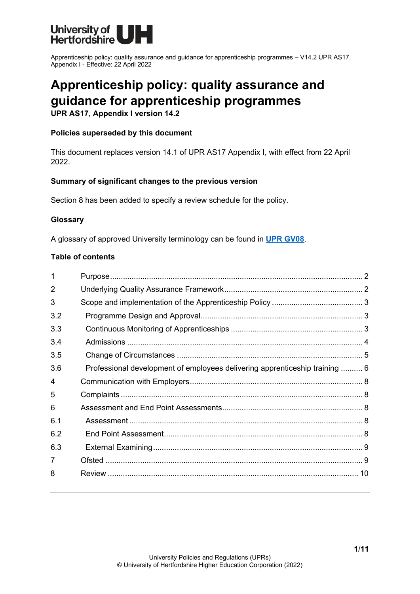

# **Apprenticeship policy: quality assurance and guidance for apprenticeship programmes**

**UPR AS17, Appendix I version 14.2**

#### **Policies superseded by this document**

This document replaces version 14.1 of UPR AS17 Appendix I, with effect from 22 April 2022.

#### **Summary of significant changes to the previous version**

Section 8 has been added to specify a review schedule for the policy.

#### **Glossary**

A glossary of approved University terminology can be found in **[UPR GV08](https://www.herts.ac.uk/__data/assets/pdf_file/0020/233057/GV08-Glossary-of-Terminology.pdf)**.

#### **Table of contents**

| 1   |                                                                             |  |
|-----|-----------------------------------------------------------------------------|--|
| 2   |                                                                             |  |
| 3   |                                                                             |  |
| 3.2 |                                                                             |  |
| 3.3 |                                                                             |  |
| 3.4 |                                                                             |  |
| 3.5 |                                                                             |  |
| 3.6 | Professional development of employees delivering apprenticeship training  6 |  |
| 4   |                                                                             |  |
| 5   |                                                                             |  |
| 6   |                                                                             |  |
| 6.1 |                                                                             |  |
| 6.2 |                                                                             |  |
| 6.3 |                                                                             |  |
| 7   |                                                                             |  |
| 8   |                                                                             |  |
|     |                                                                             |  |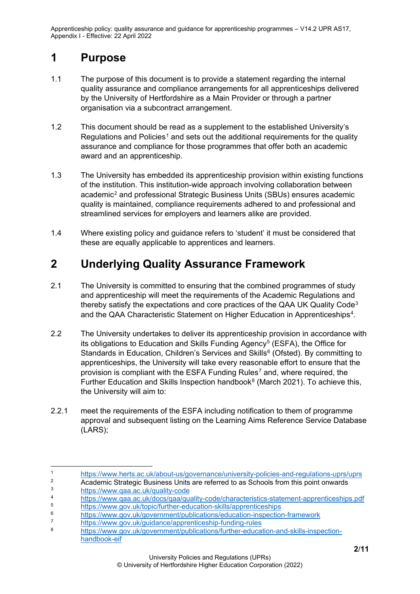## <span id="page-1-0"></span>**1 Purpose**

- 1.1 The purpose of this document is to provide a statement regarding the internal quality assurance and compliance arrangements for all apprenticeships delivered by the University of Hertfordshire as a Main Provider or through a partner organisation via a subcontract arrangement.
- 1.2 This document should be read as a supplement to the established University's Regulations and Policies<sup>[1](#page-1-2)</sup> and sets out the additional requirements for the quality assurance and compliance for those programmes that offer both an academic award and an apprenticeship.
- 1.3 The University has embedded its apprenticeship provision within existing functions of the institution. This institution-wide approach involving collaboration between academic<sup>[2](#page-1-3)</sup> and professional Strategic Business Units (SBUs) ensures academic quality is maintained, compliance requirements adhered to and professional and streamlined services for employers and learners alike are provided.
- 1.4 Where existing policy and guidance refers to 'student' it must be considered that these are equally applicable to apprentices and learners.

# <span id="page-1-1"></span>**2 Underlying Quality Assurance Framework**

- 2.1 The University is committed to ensuring that the combined programmes of study and apprenticeship will meet the requirements of the Academic Regulations and thereby satisfy the expectations and core practices of the QAA UK Quality Code[3](#page-1-4) and the QAA Characteristic Statement on Higher Education in Apprenticeships[4](#page-1-5).
- 2.2 The University undertakes to deliver its apprenticeship provision in accordance with its obligations to Education and Skills Funding Agency<sup>[5](#page-1-6)</sup> (ESFA), the Office for Standards in Education, Children's Services and Skills<sup>[6](#page-1-7)</sup> (Ofsted). By committing to apprenticeships, the University will take every reasonable effort to ensure that the provision is compliant with the ESFA Funding Rules<sup>[7](#page-1-8)</sup> and, where required, the Further Education and Skills Inspection handbook $8$  (March 2021). To achieve this, the University will aim to:
- 2.2.1 meet the requirements of the ESFA including notification to them of programme approval and subsequent listing on the Learning Aims Reference Service Database (LARS);

<span id="page-1-2"></span><sup>1</sup> <https://www.herts.ac.uk/about-us/governance/university-policies-and-regulations-uprs/uprs><br>2 Academic Strategic Business Units are referred to as Schools from this point onwards

<span id="page-1-3"></span><sup>&</sup>lt;sup>2</sup> Academic Strategic Business Units are referred to as Schools from this point onwards <sup>3</sup> <https://www.qaa.ac.uk/quality-code>

<span id="page-1-5"></span><span id="page-1-4"></span><sup>4</sup> <https://www.qaa.ac.uk/docs/qaa/quality-code/characteristics-statement-apprenticeships.pdf>

<span id="page-1-6"></span><sup>&</sup>lt;sup>5</sup><br><https://www.gov.uk/topic/further-education-skills/apprenticeships><br>https://www.gov.uk/government/publications/education-inspection

<span id="page-1-7"></span><sup>6</sup> <https://www.gov.uk/government/publications/education-inspection-framework>

<span id="page-1-8"></span><sup>7</sup> <https://www.gov.uk/guidance/apprenticeship-funding-rules>

<span id="page-1-9"></span>[https://www.gov.uk/government/publications/further-education-and-skills-inspection](https://www.gov.uk/government/publications/further-education-and-skills-inspection-handbook-eif)[handbook-eif](https://www.gov.uk/government/publications/further-education-and-skills-inspection-handbook-eif)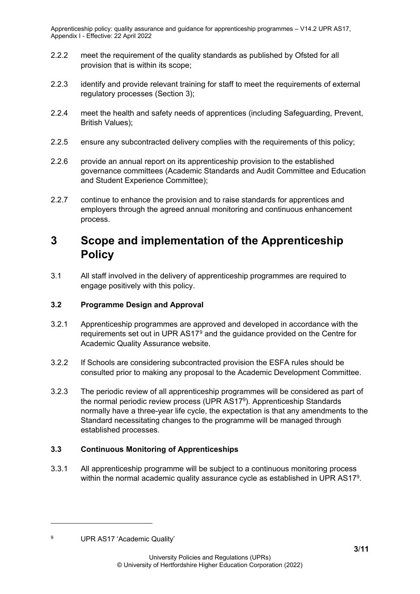- 2.2.2 meet the requirement of the quality standards as published by Ofsted for all provision that is within its scope;
- 2.2.3 identify and provide relevant training for staff to meet the requirements of external regulatory processes (Section 3);
- 2.2.4 meet the health and safety needs of apprentices (including Safeguarding, Prevent, British Values);
- 2.2.5 ensure any subcontracted delivery complies with the requirements of this policy;
- 2.2.6 provide an annual report on its apprenticeship provision to the established governance committees (Academic Standards and Audit Committee and Education and Student Experience Committee);
- 2.2.7 continue to enhance the provision and to raise standards for apprentices and employers through the agreed annual monitoring and continuous enhancement process.

# <span id="page-2-0"></span>**3 Scope and implementation of the Apprenticeship Policy**

3.1 All staff involved in the delivery of apprenticeship programmes are required to engage positively with this policy.

### <span id="page-2-1"></span>**3.2 Programme Design and Approval**

- 3.2.1 Apprenticeship programmes are approved and developed in accordance with the requirements set out in UPR AS17[9](#page-2-3) and the guidance provided on the Centre for Academic Quality Assurance website.
- 3.2.2 If Schools are considering subcontracted provision the ESFA rules should be consulted prior to making any proposal to the Academic Development Committee.
- 3.2.3 The periodic review of all apprenticeship programmes will be considered as part of the normal periodic review process (UPR AS179). Apprenticeship Standards normally have a three-year life cycle, the expectation is that any amendments to the Standard necessitating changes to the programme will be managed through established processes.

### <span id="page-2-2"></span>**3.3 Continuous Monitoring of Apprenticeships**

3.3.1 All apprenticeship programme will be subject to a continuous monitoring process within the normal academic quality assurance cycle as established in UPR AS17<sup>9</sup>.

<span id="page-2-3"></span><sup>9</sup> UPR AS17 'Academic Quality'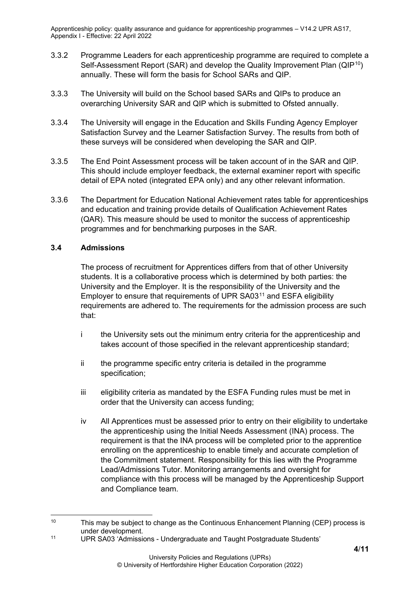- 3.3.2 Programme Leaders for each apprenticeship programme are required to complete a Self-Assessment Report (SAR) and develop the Quality Improvement Plan (QIP<sup>[10](#page-3-1)</sup>) annually. These will form the basis for School SARs and QIP.
- 3.3.3 The University will build on the School based SARs and QIPs to produce an overarching University SAR and QIP which is submitted to Ofsted annually.
- 3.3.4 The University will engage in the Education and Skills Funding Agency Employer Satisfaction Survey and the Learner Satisfaction Survey. The results from both of these surveys will be considered when developing the SAR and QIP.
- 3.3.5 The End Point Assessment process will be taken account of in the SAR and QIP. This should include employer feedback, the external examiner report with specific detail of EPA noted (integrated EPA only) and any other relevant information.
- 3.3.6 The Department for Education National Achievement rates table for apprenticeships and education and training provide details of Qualification Achievement Rates (QAR). This measure should be used to monitor the success of apprenticeship programmes and for benchmarking purposes in the SAR.

#### <span id="page-3-0"></span>**3.4 Admissions**

The process of recruitment for Apprentices differs from that of other University students. It is a collaborative process which is determined by both parties: the University and the Employer. It is the responsibility of the University and the Employer to ensure that requirements of UPR SA03[11](#page-3-2) and ESFA eligibility requirements are adhered to. The requirements for the admission process are such that:

- i the University sets out the minimum entry criteria for the apprenticeship and takes account of those specified in the relevant apprenticeship standard;
- ii the programme specific entry criteria is detailed in the programme specification;
- iii eligibility criteria as mandated by the ESFA Funding rules must be met in order that the University can access funding;
- iv All Apprentices must be assessed prior to entry on their eligibility to undertake the apprenticeship using the Initial Needs Assessment (INA) process. The requirement is that the INA process will be completed prior to the apprentice enrolling on the apprenticeship to enable timely and accurate completion of the Commitment statement. Responsibility for this lies with the Programme Lead/Admissions Tutor. Monitoring arrangements and oversight for compliance with this process will be managed by the Apprenticeship Support and Compliance team.

<span id="page-3-1"></span><sup>10</sup> This may be subject to change as the Continuous Enhancement Planning (CEP) process is under development.

<span id="page-3-2"></span><sup>11</sup> UPR SA03 'Admissions - Undergraduate and Taught Postgraduate Students'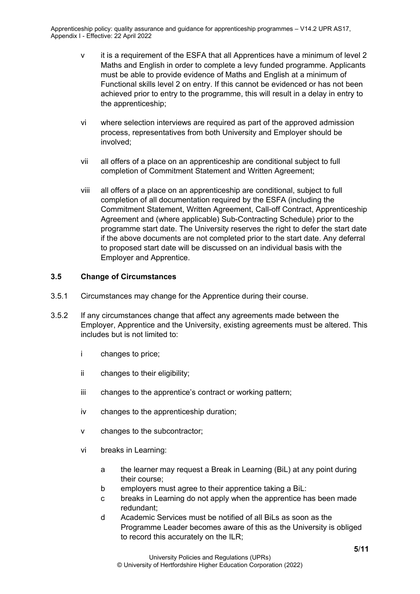- v it is a requirement of the ESFA that all Apprentices have a minimum of level 2 Maths and English in order to complete a levy funded programme. Applicants must be able to provide evidence of Maths and English at a minimum of Functional skills level 2 on entry. If this cannot be evidenced or has not been achieved prior to entry to the programme, this will result in a delay in entry to the apprenticeship;
- vi where selection interviews are required as part of the approved admission process, representatives from both University and Employer should be involved;
- vii all offers of a place on an apprenticeship are conditional subject to full completion of Commitment Statement and Written Agreement;
- viii all offers of a place on an apprenticeship are conditional, subject to full completion of all documentation required by the ESFA (including the Commitment Statement, Written Agreement, Call-off Contract, Apprenticeship Agreement and (where applicable) Sub-Contracting Schedule) prior to the programme start date. The University reserves the right to defer the start date if the above documents are not completed prior to the start date. Any deferral to proposed start date will be discussed on an individual basis with the Employer and Apprentice.

#### <span id="page-4-0"></span>**3.5 Change of Circumstances**

- 3.5.1 Circumstances may change for the Apprentice during their course.
- 3.5.2 If any circumstances change that affect any agreements made between the Employer, Apprentice and the University, existing agreements must be altered. This includes but is not limited to:
	- i changes to price;
	- ii changes to their eligibility;
	- iii changes to the apprentice's contract or working pattern;
	- iv changes to the apprenticeship duration;
	- v changes to the subcontractor;
	- vi breaks in Learning:
		- a the learner may request a Break in Learning (BiL) at any point during their course;
		- b employers must agree to their apprentice taking a BiL:
		- c breaks in Learning do not apply when the apprentice has been made redundant;
		- d Academic Services must be notified of all BiLs as soon as the Programme Leader becomes aware of this as the University is obliged to record this accurately on the ILR;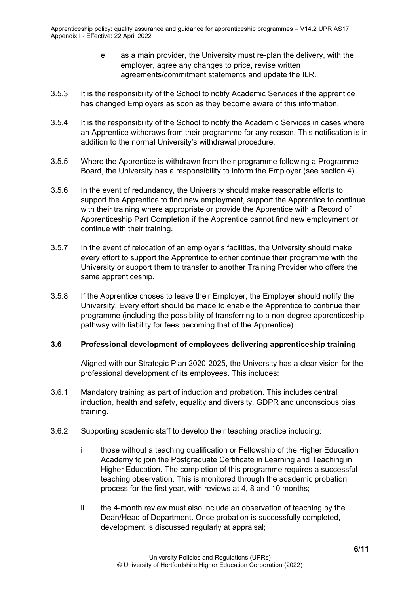- e as a main provider, the University must re-plan the delivery, with the employer, agree any changes to price, revise written agreements/commitment statements and update the ILR.
- 3.5.3 It is the responsibility of the School to notify Academic Services if the apprentice has changed Employers as soon as they become aware of this information.
- 3.5.4 It is the responsibility of the School to notify the Academic Services in cases where an Apprentice withdraws from their programme for any reason. This notification is in addition to the normal University's withdrawal procedure.
- 3.5.5 Where the Apprentice is withdrawn from their programme following a Programme Board, the University has a responsibility to inform the Employer (see section 4).
- 3.5.6 In the event of redundancy, the University should make reasonable efforts to support the Apprentice to find new employment, support the Apprentice to continue with their training where appropriate or provide the Apprentice with a Record of Apprenticeship Part Completion if the Apprentice cannot find new employment or continue with their training.
- 3.5.7 In the event of relocation of an employer's facilities, the University should make every effort to support the Apprentice to either continue their programme with the University or support them to transfer to another Training Provider who offers the same apprenticeship.
- 3.5.8 If the Apprentice choses to leave their Employer, the Employer should notify the University. Every effort should be made to enable the Apprentice to continue their programme (including the possibility of transferring to a non-degree apprenticeship pathway with liability for fees becoming that of the Apprentice).

#### <span id="page-5-0"></span>**3.6 Professional development of employees delivering apprenticeship training**

Aligned with our Strategic Plan 2020-2025, the University has a clear vision for the professional development of its employees. This includes:

- 3.6.1 Mandatory training as part of induction and probation. This includes central induction, health and safety, equality and diversity, GDPR and unconscious bias training.
- 3.6.2 Supporting academic staff to develop their teaching practice including:
	- i those without a teaching qualification or Fellowship of the Higher Education Academy to join the Postgraduate Certificate in Learning and Teaching in Higher Education. The completion of this programme requires a successful teaching observation. This is monitored through the academic probation process for the first year, with reviews at 4, 8 and 10 months;
	- ii the 4-month review must also include an observation of teaching by the Dean/Head of Department. Once probation is successfully completed, development is discussed regularly at appraisal;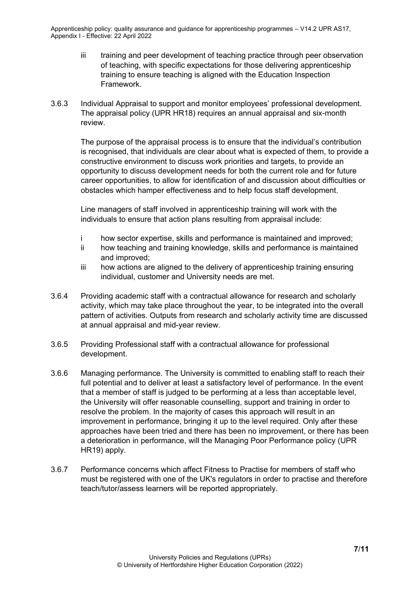- iii training and peer development of teaching practice through peer observation of teaching, with specific expectations for those delivering apprenticeship training to ensure teaching is aligned with the Education Inspection Framework.
- 3.6.3 Individual Appraisal to support and monitor employees' professional development. The appraisal policy (UPR HR18) requires an annual appraisal and six-month review.

The purpose of the appraisal process is to ensure that the individual's contribution is recognised, that individuals are clear about what is expected of them, to provide a constructive environment to discuss work priorities and targets, to provide an opportunity to discuss development needs for both the current role and for future career opportunities, to allow for identification of and discussion about difficulties or obstacles which hamper effectiveness and to help focus staff development.

Line managers of staff involved in apprenticeship training will work with the individuals to ensure that action plans resulting from appraisal include:

- i how sector expertise, skills and performance is maintained and improved;
- ii how teaching and training knowledge, skills and performance is maintained and improved;
- iii how actions are aligned to the delivery of apprenticeship training ensuring individual, customer and University needs are met.
- 3.6.4 Providing academic staff with a contractual allowance for research and scholarly activity, which may take place throughout the year, to be integrated into the overall pattern of activities. Outputs from research and scholarly activity time are discussed at annual appraisal and mid-year review.
- 3.6.5 Providing Professional staff with a contractual allowance for professional development.
- 3.6.6 Managing performance. The University is committed to enabling staff to reach their full potential and to deliver at least a satisfactory level of performance. In the event that a member of staff is judged to be performing at a less than acceptable level, the University will offer reasonable counselling, support and training in order to resolve the problem. In the majority of cases this approach will result in an improvement in performance, bringing it up to the level required. Only after these approaches have been tried and there has been no improvement, or there has been a deterioration in performance, will the Managing Poor Performance policy (UPR HR19) apply.
- 3.6.7 Performance concerns which affect Fitness to Practise for members of staff who must be registered with one of the UK's regulators in order to practise and therefore teach/tutor/assess learners will be reported appropriately.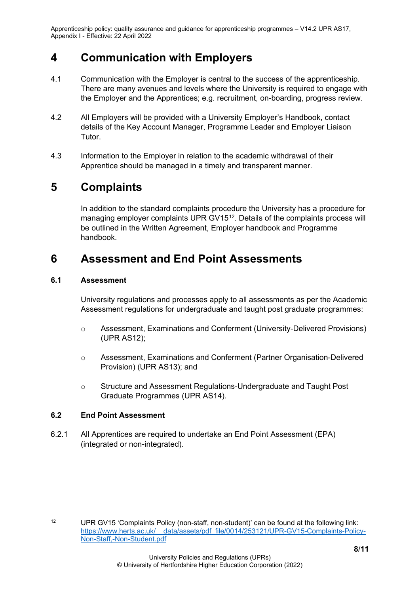### <span id="page-7-0"></span>**4 Communication with Employers**

- 4.1 Communication with the Employer is central to the success of the apprenticeship. There are many avenues and levels where the University is required to engage with the Employer and the Apprentices; e.g. recruitment, on-boarding, progress review.
- 4.2 All Employers will be provided with a University Employer's Handbook, contact details of the Key Account Manager, Programme Leader and Employer Liaison Tutor.
- 4.3 Information to the Employer in relation to the academic withdrawal of their Apprentice should be managed in a timely and transparent manner.

### <span id="page-7-1"></span>**5 Complaints**

In addition to the standard complaints procedure the University has a procedure for managing employer complaints UPR GV15<sup>12</sup>. Details of the complaints process will be outlined in the Written Agreement, Employer handbook and Programme handbook.

### <span id="page-7-2"></span>**6 Assessment and End Point Assessments**

#### <span id="page-7-3"></span>**6.1 Assessment**

University regulations and processes apply to all assessments as per the Academic Assessment regulations for undergraduate and taught post graduate programmes:

- o Assessment, Examinations and Conferment (University-Delivered Provisions) (UPR AS12);
- o Assessment, Examinations and Conferment (Partner Organisation-Delivered Provision) (UPR AS13); and
- o Structure and Assessment Regulations-Undergraduate and Taught Post Graduate Programmes (UPR AS14).

#### <span id="page-7-4"></span>**6.2 End Point Assessment**

6.2.1 All Apprentices are required to undertake an End Point Assessment (EPA) (integrated or non-integrated).

<span id="page-7-5"></span><sup>12</sup> UPR GV15 'Complaints Policy (non-staff, non-student)' can be found at the following link: [https://www.herts.ac.uk/\\_\\_data/assets/pdf\\_file/0014/253121/UPR-GV15-Complaints-Policy-](https://www.herts.ac.uk/__data/assets/pdf_file/0014/253121/UPR-GV15-Complaints-Policy-Non-Staff,-Non-Student.pdf)[Non-Staff,-Non-Student.pdf](https://www.herts.ac.uk/__data/assets/pdf_file/0014/253121/UPR-GV15-Complaints-Policy-Non-Staff,-Non-Student.pdf)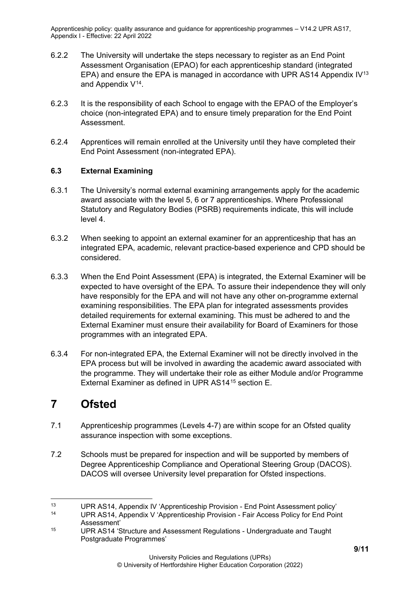- 6.2.2 The University will undertake the steps necessary to register as an End Point Assessment Organisation (EPAO) for each apprenticeship standard (integrated EPA) and ensure the EPA is managed in accordance with UPR AS14 Appendix  $IV^{13}$  $IV^{13}$  $IV^{13}$ and Appendix V[14.](#page-8-3)
- 6.2.3 It is the responsibility of each School to engage with the EPAO of the Employer's choice (non-integrated EPA) and to ensure timely preparation for the End Point **Assessment**
- 6.2.4 Apprentices will remain enrolled at the University until they have completed their End Point Assessment (non-integrated EPA).

#### <span id="page-8-0"></span>**6.3 External Examining**

- 6.3.1 The University's normal external examining arrangements apply for the academic award associate with the level 5, 6 or 7 apprenticeships. Where Professional Statutory and Regulatory Bodies (PSRB) requirements indicate, this will include level 4.
- 6.3.2 When seeking to appoint an external examiner for an apprenticeship that has an integrated EPA, academic, relevant practice-based experience and CPD should be considered.
- 6.3.3 When the End Point Assessment (EPA) is integrated, the External Examiner will be expected to have oversight of the EPA. To assure their independence they will only have responsibly for the EPA and will not have any other on-programme external examining responsibilities. The EPA plan for integrated assessments provides detailed requirements for external examining. This must be adhered to and the External Examiner must ensure their availability for Board of Examiners for those programmes with an integrated EPA.
- 6.3.4 For non-integrated EPA, the External Examiner will not be directly involved in the EPA process but will be involved in awarding the academic award associated with the programme. They will undertake their role as either Module and/or Programme External Examiner as defined in UPR AS14[15](#page-8-4) section E.

### <span id="page-8-1"></span>**7 Ofsted**

- 7.1 Apprenticeship programmes (Levels 4-7) are within scope for an Ofsted quality assurance inspection with some exceptions.
- 7.2 Schools must be prepared for inspection and will be supported by members of Degree Apprenticeship Compliance and Operational Steering Group (DACOS). DACOS will oversee University level preparation for Ofsted inspections.

<span id="page-8-3"></span><span id="page-8-2"></span><sup>13</sup> UPR AS14, Appendix IV 'Apprenticeship Provision - End Point Assessment policy'<br>14 UPP AS14, Appendix V 'Apprenticeship Provision - Enir Accoss Policy for End Poi

UPR AS14, Appendix V 'Apprenticeship Provision - Fair Access Policy for End Point Assessment'

<span id="page-8-4"></span><sup>15</sup> UPR AS14 'Structure and Assessment Regulations - Undergraduate and Taught Postgraduate Programmes'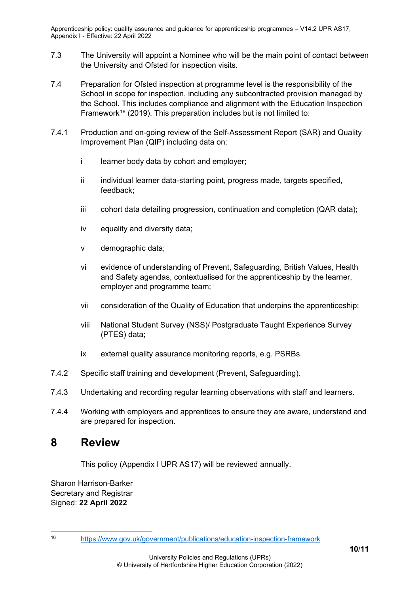- 7.3 The University will appoint a Nominee who will be the main point of contact between the University and Ofsted for inspection visits.
- 7.4 Preparation for Ofsted inspection at programme level is the responsibility of the School in scope for inspection, including any subcontracted provision managed by the School. This includes compliance and alignment with the Education Inspection Framework<sup>[16](#page-9-1)</sup> (2019). This preparation includes but is not limited to:
- 7.4.1 Production and on-going review of the Self-Assessment Report (SAR) and Quality Improvement Plan (QIP) including data on:
	- i learner body data by cohort and employer;
	- ii individual learner data-starting point, progress made, targets specified, feedback;
	- iii cohort data detailing progression, continuation and completion (QAR data);
	- iv equality and diversity data;
	- v demographic data;
	- vi evidence of understanding of Prevent, Safeguarding, British Values, Health and Safety agendas, contextualised for the apprenticeship by the learner, employer and programme team;
	- vii consideration of the Quality of Education that underpins the apprenticeship;
	- viii National Student Survey (NSS)/ Postgraduate Taught Experience Survey (PTES) data;
	- ix external quality assurance monitoring reports, e.g. PSRBs.
- 7.4.2 Specific staff training and development (Prevent, Safeguarding).
- 7.4.3 Undertaking and recording regular learning observations with staff and learners.
- 7.4.4 Working with employers and apprentices to ensure they are aware, understand and are prepared for inspection.

### <span id="page-9-0"></span>**8 Review**

This policy (Appendix I UPR AS17) will be reviewed annually.

Sharon Harrison-Barker Secretary and Registrar Signed: **22 April 2022**

<span id="page-9-1"></span><sup>16</sup> <https://www.gov.uk/government/publications/education-inspection-framework>